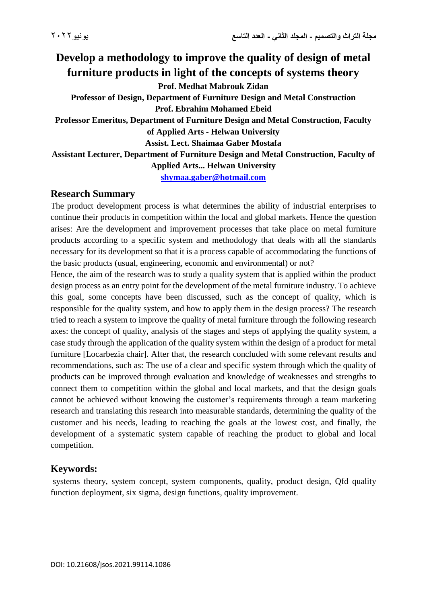**Develop a methodology to improve the quality of design of metal furniture products in light of the concepts of systems theory Prof. Medhat Mabrouk Zidan Professor of Design, Department of Furniture Design and Metal Construction Prof. Ebrahim Mohamed Ebeid Professor Emeritus, Department of Furniture Design and Metal Construction, Faculty of Applied Arts - Helwan University Assist. Lect. Shaimaa Gaber Mostafa Assistant Lecturer, Department of Furniture Design and Metal Construction, Faculty of Applied Arts... Helwan University [shymaa.gaber@hotmail.com](mailto:shymaa.gaber@hotmail.com)**

#### **Research Summary**

The product development process is what determines the ability of industrial enterprises to continue their products in competition within the local and global markets. Hence the question arises: Are the development and improvement processes that take place on metal furniture products according to a specific system and methodology that deals with all the standards necessary for its development so that it is a process capable of accommodating the functions of the basic products (usual, engineering, economic and environmental) or not?

Hence, the aim of the research was to study a quality system that is applied within the product design process as an entry point for the development of the metal furniture industry. To achieve this goal, some concepts have been discussed, such as the concept of quality, which is responsible for the quality system, and how to apply them in the design process? The research tried to reach a system to improve the quality of metal furniture through the following research axes: the concept of quality, analysis of the stages and steps of applying the quality system, a case study through the application of the quality system within the design of a product for metal furniture [Locarbezia chair]. After that, the research concluded with some relevant results and recommendations, such as: The use of a clear and specific system through which the quality of products can be improved through evaluation and knowledge of weaknesses and strengths to connect them to competition within the global and local markets, and that the design goals cannot be achieved without knowing the customer's requirements through a team marketing research and translating this research into measurable standards, determining the quality of the customer and his needs, leading to reaching the goals at the lowest cost, and finally, the development of a systematic system capable of reaching the product to global and local competition.

## **Keywords:**

systems theory, system concept, system components, quality, product design, Qfd quality function deployment, six sigma, design functions, quality improvement.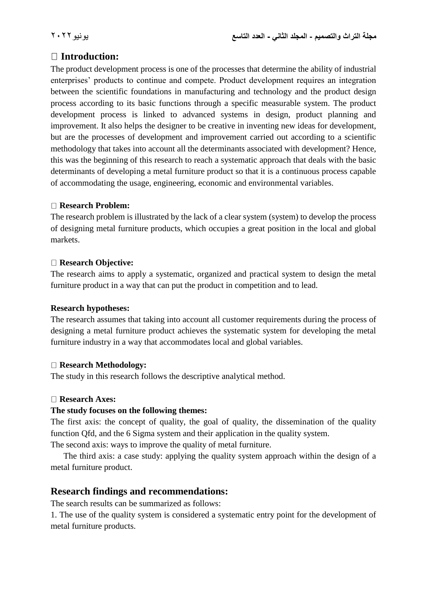# **Introduction:**

The product development process is one of the processes that determine the ability of industrial enterprises' products to continue and compete. Product development requires an integration between the scientific foundations in manufacturing and technology and the product design process according to its basic functions through a specific measurable system. The product development process is linked to advanced systems in design, product planning and improvement. It also helps the designer to be creative in inventing new ideas for development, but are the processes of development and improvement carried out according to a scientific methodology that takes into account all the determinants associated with development? Hence, this was the beginning of this research to reach a systematic approach that deals with the basic determinants of developing a metal furniture product so that it is a continuous process capable of accommodating the usage, engineering, economic and environmental variables.

### **Research Problem:**

The research problem is illustrated by the lack of a clear system (system) to develop the process of designing metal furniture products, which occupies a great position in the local and global markets.

### **Research Objective:**

The research aims to apply a systematic, organized and practical system to design the metal furniture product in a way that can put the product in competition and to lead.

#### **Research hypotheses:**

The research assumes that taking into account all customer requirements during the process of designing a metal furniture product achieves the systematic system for developing the metal furniture industry in a way that accommodates local and global variables.

#### **Research Methodology:**

The study in this research follows the descriptive analytical method.

#### **Research Axes:**

#### **The study focuses on the following themes:**

The first axis: the concept of quality, the goal of quality, the dissemination of the quality function Qfd, and the 6 Sigma system and their application in the quality system.

The second axis: ways to improve the quality of metal furniture.

 The third axis: a case study: applying the quality system approach within the design of a metal furniture product.

# **Research findings and recommendations:**

The search results can be summarized as follows:

1. The use of the quality system is considered a systematic entry point for the development of metal furniture products.